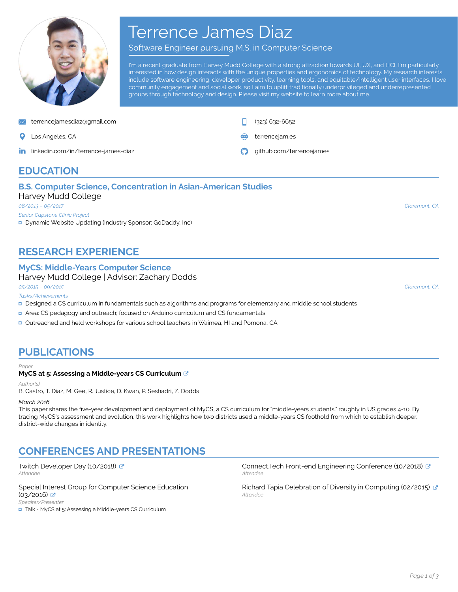

# Terrence James Diaz

Software Engineer pursuing M.S. in Computer Science

I'm a recent graduate from Harvey Mudd College with a strong attraction towards UI, UX, and HCI. I'm particularly interested in how design interacts with the unique properties and ergonomics of technology. My research interests include software engineering, developer productivity, learning tools, and equitable/intelligent user interfaces. I love community engagement and social work, so I aim to uplift traditionally underprivileged and underrepresented groups through technology and design. Please visit my website to learn more about me.

[terrencejamesdiaz@gmail.com](mailto:terrencejamesdiaz@gmail.com) (323) 632-6652

- 
- in. [linkedin.com/in/terrence-james-diaz](https://linkedin.com/in/terrence-james-diaz/) [github.com/terrencejames](https://github.com/terrencejames)

Los Angeles, CA [terrencejam.es](http://terrencejam.es)

# **EDUCATION**

### **B.S. Computer Science, Concentration in Asian-American Studies** Harvey Mudd College

*08/2013 – 05/2017*

*Senior Capstone Clinic Project*

Dynamic Website Updating (Industry Sponsor: GoDaddy, Inc)

# **RESEARCH EXPERIENCE**

### **MyCS: Middle-Years Computer Science**

Harvey Mudd College | Advisor: Zachary Dodds

*05/2015 – 09/2015*

*Tasks/Achievements*

- Designed a CS curriculum in fundamentals such as algorithms and programs for elementary and middle school students
- Area: CS pedagogy and outreach; focused on Arduino curriculum and CS fundamentals
- Outreached and held workshops for various school teachers in Waimea, HI and Pomona, CA

# **PUBLICATIONS**

#### *Paper*

### **MyCS at 5: Assessing a Middle-years CS Curriculum**

*Author(s)*

B. Castro, T. Diaz, M. Gee, R. Justice, D. Kwan, P. Seshadri, Z. Dodds

*March 2016*

This paper shares the five-year development and deployment of MyCS, a CS curriculum for "middle-years students," roughly in US grades 4-10. By tracing MyCS's assessment and evolution, this work highlights how two districts used a middle-years CS foothold from which to establish deeper, district-wide changes in identity.

# **CONFERENCES AND PRESENTATIONS**

Twitch Developer Day (10/2018) & Attendee

Special Interest Group for Computer Science Education (03/2016) *Speaker/Presenter*

■ Talk - MyCS at 5: Assessing a Middle-years CS Curriculum

*Attendee* Connect.Tech Front-end Engineering Conference (10/2018) *Attendee*

Richard Tapia Celebration of Diversity in Computing (02/2015) & *Attendee*

*Claremont, CA*

*Claremont, CA*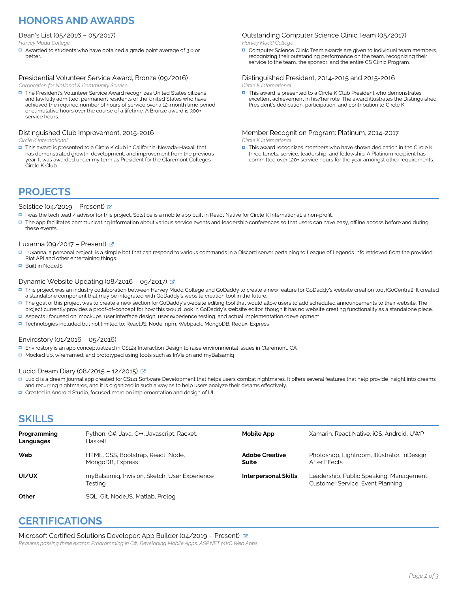# **HONORS AND AWARDS**

### Dean's List (05/2016 – 05/2017)

*Harvey Mudd College*

Awarded to students who have obtained a grade point average of 3.0 or better.

#### Presidential Volunteer Service Award, Bronze (09/2016) *Corporation for National & Community Service*

■ The President's Volunteer Service Award recognizes United States citizens and lawfully admitted, permanent residents of the United States who have achieved the required number of hours of service over a 12-month time period or cumulative hours over the course of a lifetime. A Bronze award is 300+ service hours.

### Distinguished Club Improvement, 2015-2016

*Circle K International*

■ This award is presented to a Circle K club in California-Nevada-Hawaii that has demonstrated growth, development, and improvement from the previous year. It was awarded under my term as President for the Claremont Colleges Circle K Club.

### Outstanding Computer Science Clinic Team (05/2017) *Harvey Mudd College*

**D** Computer Science Clinic Team awards are given to individual team members, recognizing their outstanding performance on the team, recognizing their service to the team, the sponsor, and the entire CS Clinic Program.

#### Distinguished President, 2014-2015 and 2015-2016 *Circle K International*

■ This award is presented to a Circle K Club President who demonstrates excellent achievement in his/her role. The award illustrates the Distinguished President's dedication, participation, and contribution to Circle K.

Member Recognition Program: Platinum, 2014-2017 *Circle K International*

 $\Box$  This award recognizes members who have shown dedication in the Circle K three tenets: service, leadership, and fellowship. A Platinum recipient has committed over 120+ service hours for the year amongst other requirements.

# **PROJECTS**

### Solstice (04/2019 – Present) **C**

- I was the tech lead / advisor for this project. Solstice is a mobile app built in React Native for Circle K International, a non-profit.
- The app facilitates communicating information about various service events and leadership conferences so that users can have easy, offline access before and during these events.

### Luxanna (09/2017 – Present)  $\sim$

- □ Luxanna, a personal project, is a simple bot that can respond to various commands in a Discord server pertaining to League of Legends info retrieved from the provided Riot API and other entertaining things.
- **Built in Node IS**

### Dynamic Website Updating (08/2016 – 05/2017)  $\mathbb{Z}$

- This project was an industry collaboration between Harvey Mudd College and GoDaddy to create a new feature for GoDaddy's website creation tool (GoCentral). It created a standalone component that may be integrated with GoDaddy's website creation tool in the future.
- The goal of this project was to create a new section for GoDaddy's website editing tool that would allow users to add scheduled announcements to their website. The project currently provides a proof-of-concept for how this would look in GoDaddy's website editor, though it has no website creating functionality as a standalone piece.
- Aspects I focused on: mockups, user interface design, user experience testing, and actual implementation/development
- Technologies included but not limited to:ReactJS, Node, npm, Webpack, MongoDB, Redux, Express

### Envirostory (01/2016 – 05/2016)

- Envirostory is an app conceptualized in CS124 Interaction Design to raise environmental issues in Claremont, CA
- Mocked up, wireframed, and prototyped using tools such as InVision and myBalsamig

### Lucid Dream Diary (08/2015 – 12/2015)  $\sigma$

- Lucid is a dream journal app created for CS121 Software Development that helps users combat nightmares. It offers several features that help provide insight into dreams and recurring nightmares, and it is organized in such a way as to help users analyze their dreams effectively.
- □ Created in Android Studio, focused more on implementation and design of UI.

# **SKILLS**

| Programming<br>Languages | Python, C#, Java, C++, Javascript, Racket,<br>Haskell    | <b>Mobile App</b>              | Xamarin, React Native, iOS, Android, UWP                                     |
|--------------------------|----------------------------------------------------------|--------------------------------|------------------------------------------------------------------------------|
| Web                      | HTML, CSS, Bootstrap, React, Node,<br>MongoDB, Express   | <b>Adobe Creative</b><br>Suite | Photoshop, Lightroom, Illustrator, InDesign,<br>After Effects                |
| UI/UX                    | myBalsamig, Invision, Sketch, User Experience<br>Testing | <b>Interpersonal Skills</b>    | Leadership, Public Speaking, Management,<br>Customer Service, Event Planning |
| Other                    | SQL, Git, NodeJS, Matlab, Prolog                         |                                |                                                                              |

# **CERTIFICATIONS**

Microsoft Certified Solutions Developer: App Builder (04/2019 – Present) & *Requires passing three exams: Programming in C#, Developing Mobile Apps, ASP.NET MVC Web Apps*